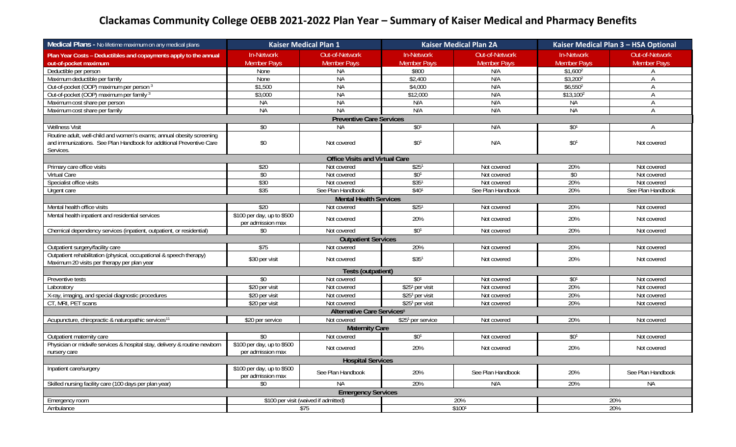## **Clackamas Community College OEBB 2021‐2022 Plan Year – Summary of Kaiser Medical and Pharmacy Benefits**

| Medical Plans - No lifetime maximum on any medical plans                                                           | <b>Kaiser Medical Plan 1</b>                    |                                        | <b>Kaiser Medical Plan 2A</b> |                       | Kaiser Medical Plan 3 - HSA Optional |                    |  |
|--------------------------------------------------------------------------------------------------------------------|-------------------------------------------------|----------------------------------------|-------------------------------|-----------------------|--------------------------------------|--------------------|--|
| Plan Year Costs - Deductibles and copayments apply to the annual                                                   | In-Network                                      | Out-of-Network                         | In-Network                    | <b>Out-of-Network</b> | In-Network                           | Out-of-Network     |  |
| out-of-pocket maximum                                                                                              | <b>Member Pays</b>                              | <b>Member Pays</b>                     | <b>Member Pays</b>            | <b>Member Pays</b>    | <b>Member Pays</b>                   | <b>Member Pays</b> |  |
| Deductible per person                                                                                              | None                                            | <b>NA</b>                              | \$800                         | N/A                   | \$1.600 <sup>2</sup>                 | $\mathsf{A}$       |  |
| Maximum deductible per family                                                                                      | None                                            | <b>NA</b>                              | \$2,400                       | N/A                   | $$3,200^2$                           | A                  |  |
| Out-of-pocket (OOP) maximum per person 3                                                                           | \$1,500                                         | <b>NA</b>                              | \$4,000                       | N/A                   | \$6,5502                             | Α                  |  |
| Out-of-pocket (OOP) maximum per family 3                                                                           | \$3,000                                         | <b>NA</b>                              | \$12,000                      | N/A                   | $$13,100^2$                          | Α                  |  |
| Maximum cost share per person                                                                                      | <b>NA</b>                                       | <b>NA</b>                              | N/A                           | N/A                   | <b>NA</b>                            | A                  |  |
| Maximum cost share per family                                                                                      | <b>NA</b>                                       | <b>NA</b>                              | N/A                           | N/A                   | <b>NA</b>                            | Α                  |  |
| <b>Preventive Care Services</b>                                                                                    |                                                 |                                        |                               |                       |                                      |                    |  |
| <b>Wellness Visit</b>                                                                                              | \$0                                             | <b>NA</b>                              | \$0 <sup>1</sup>              | N/A                   | \$0 <sup>1</sup>                     | $\overline{A}$     |  |
| Routine adult, well-child and women's exams; annual obesity screening                                              |                                                 |                                        |                               |                       |                                      |                    |  |
| and immunizations. See Plan Handbook for additional Preventive Care                                                | \$0                                             | Not covered                            | \$0 <sup>1</sup>              | N/A                   | \$0 <sup>1</sup>                     | Not covered        |  |
| Services.                                                                                                          |                                                 |                                        |                               |                       |                                      |                    |  |
|                                                                                                                    |                                                 | <b>Office Visits and Virtual Care</b>  |                               |                       |                                      |                    |  |
| Primary care office visits                                                                                         | \$20                                            | Not covered                            | \$25 <sup>1</sup>             | Not covered           | 20%                                  | Not covered        |  |
| Virtual Care                                                                                                       | \$0                                             | Not covered                            | \$0 <sup>1</sup>              | Not covered           | \$0                                  | Not covered        |  |
| Specialist office visits                                                                                           | \$30                                            | Not covered                            | \$351                         | Not covered           | 20%                                  | Not covered        |  |
| Urgent care                                                                                                        | \$35                                            | See Plan Handbook                      | \$40 <sup>1</sup>             | See Plan Handbook     | 20%                                  | See Plan Handbook  |  |
| <b>Mental Health Services</b>                                                                                      |                                                 |                                        |                               |                       |                                      |                    |  |
| Mental health office visits                                                                                        | \$20                                            | Not covered                            | \$25 <sup>1</sup>             | Not covered           | 20%                                  | Not covered        |  |
| Mental health inpatient and residential services                                                                   | \$100 per day, up to \$500<br>per admission max | Not covered                            | 20%                           | Not covered           | 20%                                  | Not covered        |  |
| Chemical dependency services (inpatient, outpatient, or residential)                                               | \$0                                             | Not covered                            | \$0 <sup>1</sup>              | Not covered           | 20%                                  | Not covered        |  |
|                                                                                                                    |                                                 | <b>Outpatient Services</b>             |                               |                       |                                      |                    |  |
| Outpatient surgery/facility care                                                                                   | $\overline{$75}$                                | Not covered                            | 20%                           | Not covered           | 20%                                  | Not covered        |  |
| Outpatient rehabilitation (physical, occupational & speech therapy)<br>Maximum 20 visits per therapy per plan year | \$30 per visit                                  | Not covered                            | \$351                         | Not covered           | 20%                                  | Not covered        |  |
|                                                                                                                    |                                                 | Tests (outpatient)                     |                               |                       |                                      |                    |  |
| Preventive tests                                                                                                   | \$0                                             | Not covered                            | \$0 <sup>1</sup>              | Not covered           | \$0 <sup>1</sup>                     | Not covered        |  |
| Laboratory                                                                                                         | \$20 per visit                                  | Not covered                            | $$251$ per visit              | Not covered           | 20%                                  | Not covered        |  |
| X-ray, imaging, and special diagnostic procedures                                                                  | \$20 per visit                                  | Not covered                            | \$251 per visit               | Not covered           | 20%                                  | Not covered        |  |
| CT, MRI, PET scans                                                                                                 | \$20 per visit                                  | Not covered                            | \$251 per visit               | Not covered           | 20%                                  | Not covered        |  |
|                                                                                                                    |                                                 | Alternative Care Services <sup>8</sup> |                               |                       |                                      |                    |  |
| Acupuncture, chiropractic & naturopathic services <sup>11</sup>                                                    | \$20 per service                                | Not covered                            | \$251 per service             | Not covered           | 20%                                  | Not covered        |  |
| <b>Maternity Care</b>                                                                                              |                                                 |                                        |                               |                       |                                      |                    |  |
| Outpatient maternity care                                                                                          | \$0                                             | Not covered                            | \$0 <sup>1</sup>              | Not covered           | \$0 <sup>1</sup>                     | Not covered        |  |
| Physician or midwife services & hospital stay, delivery & routine newborn                                          | \$100 per day, up to \$500                      |                                        | 20%                           |                       | 20%                                  |                    |  |
| nursery care                                                                                                       | per admission max                               | Not covered                            |                               | Not covered           |                                      | Not covered        |  |
| <b>Hospital Services</b>                                                                                           |                                                 |                                        |                               |                       |                                      |                    |  |
| Inpatient care/surgery                                                                                             | \$100 per day, up to \$500<br>per admission max | See Plan Handbook                      | 20%                           | See Plan Handbook     | 20%                                  | See Plan Handbook  |  |
| Skilled nursing facility care (100 days per plan year)                                                             | $\sqrt{6}$                                      | <b>NA</b>                              | 20%                           | N/A                   | 20%                                  | <b>NA</b>          |  |
| <b>Emergency Services</b>                                                                                          |                                                 |                                        |                               |                       |                                      |                    |  |
| Emergency room                                                                                                     | \$100 per visit (waived if admitted)<br>20%     |                                        |                               |                       | 20%                                  |                    |  |
| Ambulance                                                                                                          |                                                 | $\sqrt{$75}$                           |                               | $$100$ <sup>1</sup>   |                                      | 20%                |  |